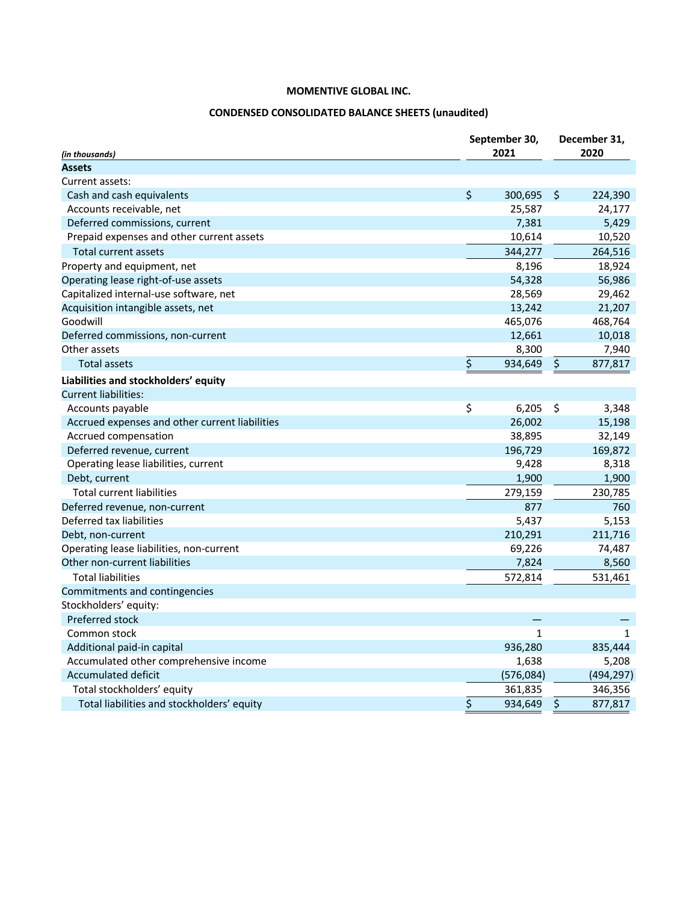# **CONDENSED CONSOLIDATED BALANCE SHEETS (unaudited)**

| (in thousands)                                 | September 30,<br>2021 |              |         | December 31,<br>2020 |  |  |
|------------------------------------------------|-----------------------|--------------|---------|----------------------|--|--|
| <b>Assets</b>                                  |                       |              |         |                      |  |  |
| Current assets:                                |                       |              |         |                      |  |  |
| Cash and cash equivalents                      | \$                    | 300,695      | \$.     | 224,390              |  |  |
| Accounts receivable, net                       |                       | 25,587       |         | 24,177               |  |  |
| Deferred commissions, current                  |                       | 7,381        |         | 5,429                |  |  |
| Prepaid expenses and other current assets      |                       | 10,614       |         | 10,520               |  |  |
| <b>Total current assets</b>                    |                       | 344,277      |         | 264,516              |  |  |
| Property and equipment, net                    |                       | 8,196        |         | 18,924               |  |  |
| Operating lease right-of-use assets            |                       | 54,328       |         | 56,986               |  |  |
| Capitalized internal-use software, net         |                       | 28,569       |         | 29,462               |  |  |
| Acquisition intangible assets, net             |                       | 13,242       |         | 21,207               |  |  |
| Goodwill                                       |                       | 465,076      |         | 468,764              |  |  |
| Deferred commissions, non-current              |                       | 12,661       |         | 10,018               |  |  |
| Other assets                                   |                       | 8,300        |         | 7,940                |  |  |
| Total assets                                   | \$                    | 934,649      | \$      | 877,817              |  |  |
| Liabilities and stockholders' equity           |                       |              |         |                      |  |  |
| <b>Current liabilities:</b>                    |                       |              |         |                      |  |  |
| Accounts payable                               | \$                    | 6,205        | $\zeta$ | 3,348                |  |  |
| Accrued expenses and other current liabilities |                       | 26,002       |         | 15,198               |  |  |
| Accrued compensation                           |                       | 38,895       |         | 32,149               |  |  |
| Deferred revenue, current                      |                       | 196,729      |         | 169,872              |  |  |
| Operating lease liabilities, current           |                       | 9,428        |         | 8,318                |  |  |
| Debt, current                                  |                       | 1,900        |         | 1,900                |  |  |
| <b>Total current liabilities</b>               |                       | 279,159      |         | 230,785              |  |  |
| Deferred revenue, non-current                  |                       | 877          |         | 760                  |  |  |
| Deferred tax liabilities                       |                       | 5,437        |         | 5,153                |  |  |
| Debt, non-current                              |                       | 210,291      |         | 211,716              |  |  |
| Operating lease liabilities, non-current       |                       | 69,226       |         | 74,487               |  |  |
| Other non-current liabilities                  |                       | 7,824        |         | 8,560                |  |  |
| <b>Total liabilities</b>                       |                       | 572,814      |         | 531,461              |  |  |
| Commitments and contingencies                  |                       |              |         |                      |  |  |
| Stockholders' equity:                          |                       |              |         |                      |  |  |
| Preferred stock                                |                       |              |         |                      |  |  |
| Common stock                                   |                       | $\mathbf{1}$ |         | $\mathbf{1}$         |  |  |
| Additional paid-in capital                     |                       | 936,280      |         | 835,444              |  |  |
| Accumulated other comprehensive income         |                       | 1,638        |         | 5,208                |  |  |
| Accumulated deficit                            |                       | (576,084)    |         | (494, 297)           |  |  |
| Total stockholders' equity                     |                       | 361,835      |         | 346,356              |  |  |
| Total liabilities and stockholders' equity     | \$                    | 934,649      | \$      | 877,817              |  |  |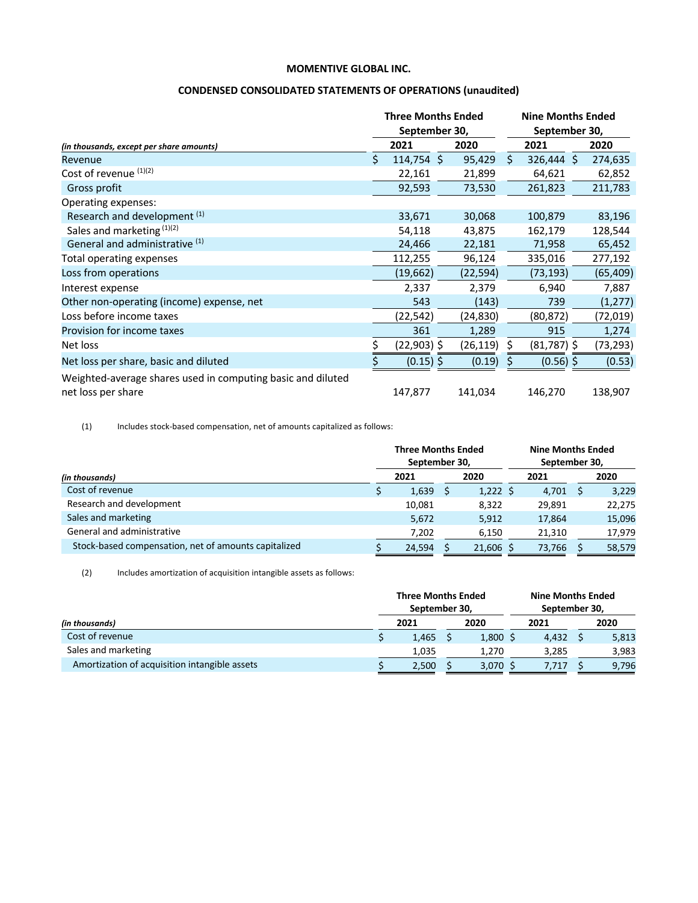## **CONDENSED CONSOLIDATED STATEMENTS OF OPERATIONS (unaudited)**

|                                                                                   |    | <b>Three Months Ended</b><br>September 30, |  |          | <b>Nine Months Ended</b><br>September 30, |               |  |           |  |
|-----------------------------------------------------------------------------------|----|--------------------------------------------|--|----------|-------------------------------------------|---------------|--|-----------|--|
| (in thousands, except per share amounts)                                          |    | 2021                                       |  | 2020     |                                           | 2021          |  | 2020      |  |
| Revenue                                                                           | Ś. | 114,754 \$                                 |  | 95,429   | \$                                        | $326,444$ \$  |  | 274,635   |  |
| Cost of revenue (1)(2)                                                            |    | 22,161                                     |  | 21,899   |                                           | 64,621        |  | 62,852    |  |
| Gross profit                                                                      |    | 92,593                                     |  | 73,530   |                                           | 261,823       |  | 211,783   |  |
| Operating expenses:                                                               |    |                                            |  |          |                                           |               |  |           |  |
| Research and development (1)                                                      |    | 33,671                                     |  | 30,068   |                                           | 100,879       |  | 83,196    |  |
| Sales and marketing (1)(2)                                                        |    | 54,118                                     |  | 43,875   |                                           | 162,179       |  | 128,544   |  |
| General and administrative (1)                                                    |    | 24,466                                     |  | 22,181   |                                           | 71,958        |  | 65,452    |  |
| Total operating expenses                                                          |    | 112,255                                    |  | 96,124   |                                           | 335,016       |  | 277,192   |  |
| Loss from operations                                                              |    | (19,662)                                   |  | (22,594) |                                           | (73, 193)     |  | (65, 409) |  |
| Interest expense                                                                  |    | 2,337                                      |  | 2,379    |                                           | 6,940         |  | 7,887     |  |
| Other non-operating (income) expense, net                                         |    | 543                                        |  | (143)    |                                           | 739           |  | (1, 277)  |  |
| Loss before income taxes                                                          |    | (22,542)                                   |  | (24,830) |                                           | (80,872)      |  | (72,019)  |  |
| Provision for income taxes                                                        |    | 361                                        |  | 1,289    |                                           | 915           |  | 1,274     |  |
| Net loss                                                                          |    | (22,903) \$                                |  | (26,119) |                                           | $(81,787)$ \$ |  | (73,293)  |  |
| Net loss per share, basic and diluted                                             |    | $(0.15)$ \$                                |  | (0.19)   |                                           | $(0.56)$ \$   |  | (0.53)    |  |
| Weighted-average shares used in computing basic and diluted<br>net loss per share |    | 147,877                                    |  | 141,034  |                                           | 146,270       |  | 138,907   |  |

(1) Includes stock-based compensation, net of amounts capitalized as follows:

|                                                      |  | <b>Three Months Ended</b><br>September 30, |      |             | <b>Nine Months Ended</b><br>September 30, |        |      |        |  |
|------------------------------------------------------|--|--------------------------------------------|------|-------------|-------------------------------------------|--------|------|--------|--|
| (in thousands)                                       |  |                                            | 2021 |             | 2021                                      |        | 2020 |        |  |
| Cost of revenue                                      |  | 1,639                                      |      | $1,222$ \$  |                                           | 4,701  |      | 3,229  |  |
| Research and development                             |  | 10,081                                     |      | 8,322       |                                           | 29,891 |      | 22,275 |  |
| Sales and marketing                                  |  | 5,672                                      |      | 5,912       |                                           | 17,864 |      | 15,096 |  |
| General and administrative                           |  | 7,202                                      |      | 6,150       |                                           | 21,310 |      | 17,979 |  |
| Stock-based compensation, net of amounts capitalized |  | 24,594                                     |      | $21,606$ \$ |                                           | 73,766 |      | 58,579 |  |

(2) Includes amortization of acquisition intangible assets as follows:

|                                               |      | <b>Three Months Ended</b><br>September 30, |            | <b>Nine Months Ended</b><br>September 30, |       |      |       |
|-----------------------------------------------|------|--------------------------------------------|------------|-------------------------------------------|-------|------|-------|
| (in thousands)                                | 2021 |                                            | 2020       |                                           | 2021  | 2020 |       |
| Cost of revenue                               |      | 1,465                                      | $1,800$ \$ |                                           | 4,432 |      | 5,813 |
| Sales and marketing                           |      | 1,035                                      | 1.270      |                                           | 3.285 |      | 3,983 |
| Amortization of acquisition intangible assets |      | 2,500                                      | $3,070$ \$ |                                           | 7,717 |      | 9,796 |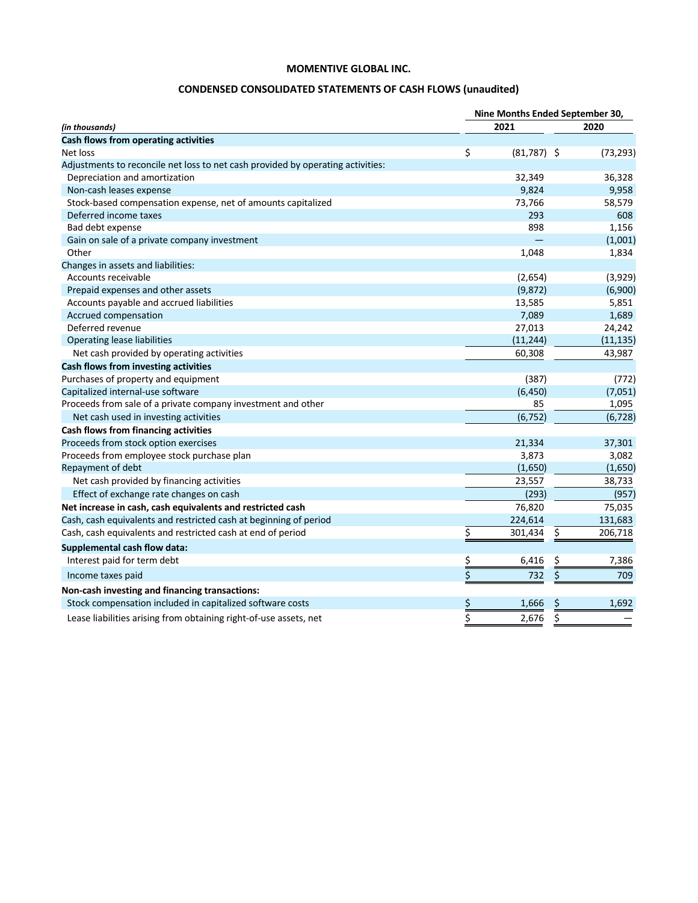# **CONDENSED CONSOLIDATED STATEMENTS OF CASH FLOWS (unaudited)**

|                                                                                 | Nine Months Ended September 30, |               |           |           |  |  |  |  |
|---------------------------------------------------------------------------------|---------------------------------|---------------|-----------|-----------|--|--|--|--|
| (in thousands)                                                                  |                                 | 2021          | 2020      |           |  |  |  |  |
| Cash flows from operating activities                                            |                                 |               |           |           |  |  |  |  |
| Net loss                                                                        | \$                              | $(81,787)$ \$ |           | (73, 293) |  |  |  |  |
| Adjustments to reconcile net loss to net cash provided by operating activities: |                                 |               |           |           |  |  |  |  |
| Depreciation and amortization                                                   |                                 | 32,349        |           | 36,328    |  |  |  |  |
| Non-cash leases expense                                                         |                                 | 9,824         |           | 9,958     |  |  |  |  |
| Stock-based compensation expense, net of amounts capitalized                    |                                 | 73,766        |           | 58,579    |  |  |  |  |
| Deferred income taxes                                                           |                                 | 293           |           | 608       |  |  |  |  |
| Bad debt expense                                                                |                                 | 898           |           | 1,156     |  |  |  |  |
| Gain on sale of a private company investment                                    |                                 |               |           | (1,001)   |  |  |  |  |
| Other                                                                           |                                 | 1,048         |           | 1,834     |  |  |  |  |
| Changes in assets and liabilities:                                              |                                 |               |           |           |  |  |  |  |
| Accounts receivable                                                             |                                 | (2,654)       |           | (3,929)   |  |  |  |  |
| Prepaid expenses and other assets                                               |                                 | (9, 872)      |           | (6,900)   |  |  |  |  |
| Accounts payable and accrued liabilities                                        |                                 | 13,585        |           | 5,851     |  |  |  |  |
| Accrued compensation                                                            |                                 | 7,089         |           | 1,689     |  |  |  |  |
| Deferred revenue                                                                |                                 | 27,013        |           | 24,242    |  |  |  |  |
| Operating lease liabilities                                                     |                                 | (11, 244)     |           | (11, 135) |  |  |  |  |
| Net cash provided by operating activities                                       |                                 | 60,308        |           | 43,987    |  |  |  |  |
| Cash flows from investing activities                                            |                                 |               |           |           |  |  |  |  |
| Purchases of property and equipment                                             |                                 | (387)         |           | (772)     |  |  |  |  |
| Capitalized internal-use software                                               |                                 | (6, 450)      |           | (7,051)   |  |  |  |  |
| Proceeds from sale of a private company investment and other                    |                                 | 85            |           | 1,095     |  |  |  |  |
| Net cash used in investing activities                                           |                                 | (6, 752)      |           | (6, 728)  |  |  |  |  |
| Cash flows from financing activities                                            |                                 |               |           |           |  |  |  |  |
| Proceeds from stock option exercises                                            |                                 | 21,334        |           | 37,301    |  |  |  |  |
| Proceeds from employee stock purchase plan                                      |                                 | 3,873         |           | 3,082     |  |  |  |  |
| Repayment of debt                                                               |                                 | (1,650)       |           | (1,650)   |  |  |  |  |
| Net cash provided by financing activities                                       |                                 | 23,557        |           | 38,733    |  |  |  |  |
| Effect of exchange rate changes on cash                                         |                                 | (293)         |           | (957)     |  |  |  |  |
| Net increase in cash, cash equivalents and restricted cash                      |                                 | 76,820        |           | 75,035    |  |  |  |  |
| Cash, cash equivalents and restricted cash at beginning of period               |                                 | 224,614       |           | 131,683   |  |  |  |  |
| Cash, cash equivalents and restricted cash at end of period                     | \$                              | 301,434       | \$        | 206,718   |  |  |  |  |
| Supplemental cash flow data:                                                    |                                 |               |           |           |  |  |  |  |
| Interest paid for term debt                                                     |                                 | 6,416         | \$        | 7,386     |  |  |  |  |
| Income taxes paid                                                               | $rac{5}{5}$                     | 732           | \$        | 709       |  |  |  |  |
| Non-cash investing and financing transactions:                                  |                                 |               |           |           |  |  |  |  |
| Stock compensation included in capitalized software costs                       | $\frac{1}{2}$                   | 1,666         | <u>\$</u> | 1,692     |  |  |  |  |
| Lease liabilities arising from obtaining right-of-use assets, net               | $\overline{\mathsf{S}}$         | 2,676         | \$        |           |  |  |  |  |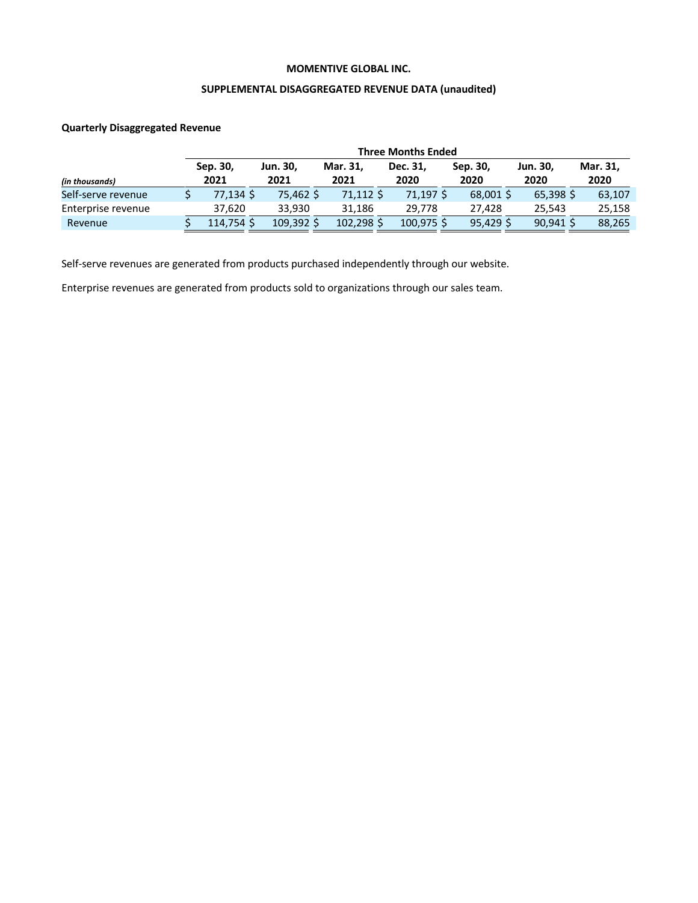#### **SUPPLEMENTAL DISAGGREGATED REVENUE DATA (unaudited)**

## **Quarterly Disaggregated Revenue**

|                    | <b>Three Months Ended</b> |           |                 |            |            |           |             |          |  |  |  |  |
|--------------------|---------------------------|-----------|-----------------|------------|------------|-----------|-------------|----------|--|--|--|--|
|                    |                           | Sep. 30,  | <b>Jun. 30,</b> | Mar. 31,   | Dec. 31.   | Sep. 30,  | Jun. 30,    | Mar. 31, |  |  |  |  |
| (in thousands)     |                           | 2021      | 2021            | 2021       | 2020       | 2020      | 2020        | 2020     |  |  |  |  |
| Self-serve revenue |                           | 77.134 S  | 75,462 \$       | 71,112 \$  | 71,197 \$  | 68,001 \$ | $65,398$ \$ | 63,107   |  |  |  |  |
| Enterprise revenue |                           | 37.620    | 33.930          | 31.186     | 29.778     | 27.428    | 25.543      | 25,158   |  |  |  |  |
| Revenue            |                           | 114.754 S | 109.392 \$      | 102.298 \$ | 100.975 \$ | 95.429S   | $90,941$ \$ | 88,265   |  |  |  |  |

Self-serve revenues are generated from products purchased independently through our website.

Enterprise revenues are generated from products sold to organizations through our sales team.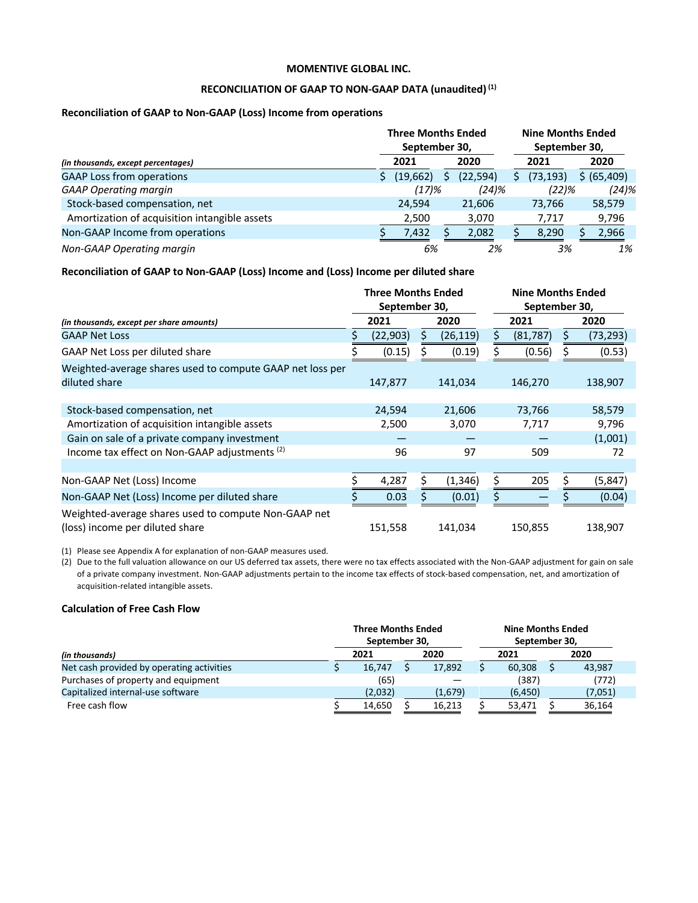#### **RECONCILIATION OF GAAP TO NON-GAAP DATA (unaudited)(1)**

## **Reconciliation of GAAP to Non-GAAP (Loss) Income from operations**

|                                               | <b>Three Months Ended</b><br>September 30, |           | <b>Nine Months Ended</b><br>September 30, |           |  |             |
|-----------------------------------------------|--------------------------------------------|-----------|-------------------------------------------|-----------|--|-------------|
| (in thousands, except percentages)            | 2021                                       | 2020      |                                           | 2021      |  | 2020        |
| <b>GAAP Loss from operations</b>              | (19,662)                                   | (22, 594) |                                           | (73, 193) |  | \$ (65,409) |
| <b>GAAP Operating margin</b>                  | (17)%                                      | $(24)$ %  |                                           | (22)%     |  | $(24)$ %    |
| Stock-based compensation, net                 | 24.594                                     | 21,606    |                                           | 73,766    |  | 58,579      |
| Amortization of acquisition intangible assets | 2,500                                      | 3,070     |                                           | 7,717     |  | 9,796       |
| Non-GAAP Income from operations               | 7,432                                      | 2,082     |                                           | 8,290     |  | 2,966       |
| Non-GAAP Operating margin                     | 6%                                         | 2%        |                                           | 3%        |  | 1%          |

#### **Reconciliation of GAAP to Non-GAAP (Loss) Income and (Loss) Income per diluted share**

|                                                                                         | <b>Three Months Ended</b><br>September 30, |  |           |  | <b>Nine Months Ended</b><br>September 30, |           |
|-----------------------------------------------------------------------------------------|--------------------------------------------|--|-----------|--|-------------------------------------------|-----------|
| (in thousands, except per share amounts)                                                | 2021<br>2020                               |  |           |  | 2021                                      | 2020      |
| <b>GAAP Net Loss</b>                                                                    | (22, 903)                                  |  | (26, 119) |  | (81, 787)                                 | (73, 293) |
| GAAP Net Loss per diluted share                                                         | (0.15)                                     |  | (0.19)    |  | (0.56)                                    | (0.53)    |
| Weighted-average shares used to compute GAAP net loss per<br>diluted share              | 147,877                                    |  | 141,034   |  | 146,270                                   | 138,907   |
| Stock-based compensation, net                                                           | 24,594                                     |  | 21,606    |  | 73,766                                    | 58,579    |
| Amortization of acquisition intangible assets                                           | 2,500                                      |  | 3,070     |  | 7,717                                     | 9,796     |
| Gain on sale of a private company investment                                            |                                            |  |           |  |                                           | (1,001)   |
| Income tax effect on Non-GAAP adjustments (2)                                           | 96                                         |  | 97        |  | 509                                       | 72        |
|                                                                                         |                                            |  |           |  |                                           |           |
| Non-GAAP Net (Loss) Income                                                              | 4,287                                      |  | (1, 346)  |  | 205                                       | (5, 847)  |
| Non-GAAP Net (Loss) Income per diluted share                                            | 0.03                                       |  | (0.01)    |  |                                           | (0.04)    |
| Weighted-average shares used to compute Non-GAAP net<br>(loss) income per diluted share | 151,558                                    |  | 141,034   |  | 150,855                                   | 138,907   |

(1) Please see Appendix A for explanation of non-GAAP measures used.

(2) Due to the full valuation allowance on our US deferred tax assets, there were no tax effects associated with the Non-GAAP adjustment for gain on sale of a private company investment. Non-GAAP adjustments pertain to the income tax effects of stock-based compensation, net, and amortization of acquisition-related intangible assets.

#### **Calculation of Free Cash Flow**

|                                           | <b>Three Months Ended</b><br>September 30, |  |         | <b>Nine Months Ended</b><br>September 30, |          |      |         |  |  |
|-------------------------------------------|--------------------------------------------|--|---------|-------------------------------------------|----------|------|---------|--|--|
| (in thousands)                            | 2021<br>2020                               |  |         |                                           | 2021     | 2020 |         |  |  |
| Net cash provided by operating activities | 16,747                                     |  | 17,892  |                                           | 60.308   |      | 43,987  |  |  |
| Purchases of property and equipment       | (65)                                       |  |         |                                           | (387)    |      | (772)   |  |  |
| Capitalized internal-use software         | (2,032)                                    |  | (1,679) |                                           | (6, 450) |      | (7,051) |  |  |
| Free cash flow                            | 14,650                                     |  | 16,213  |                                           | 53,471   |      | 36,164  |  |  |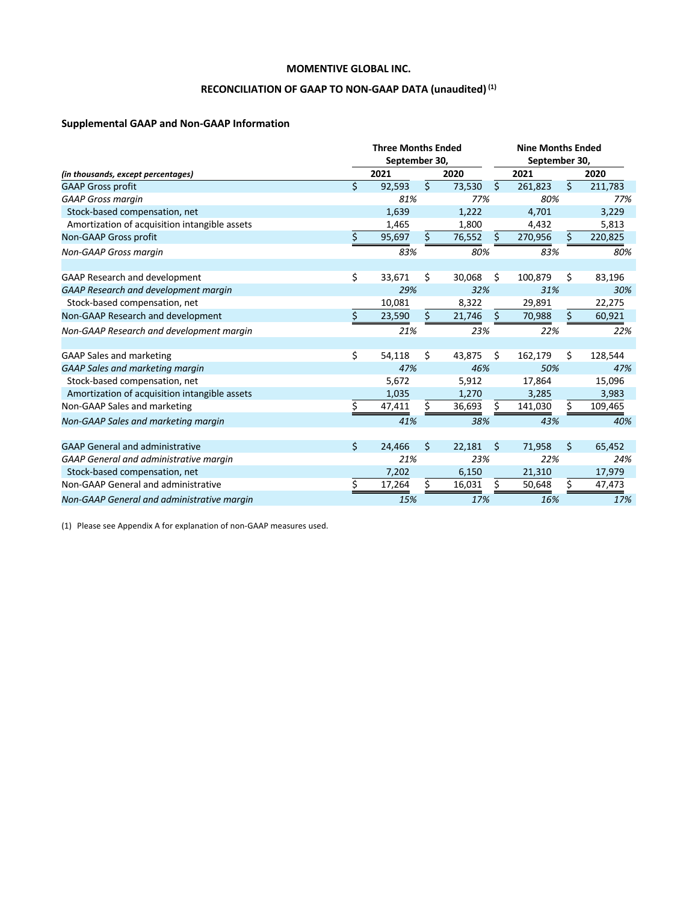# RECONCILIATION OF GAAP TO NON-GAAP DATA (unaudited)<sup>(1)</sup>

# **Supplemental GAAP and Non-GAAP Information**

|                                               |                    | <b>Three Months Ended</b><br>September 30, |                    |        |    | <b>Nine Months Ended</b><br>September 30, |         |         |  |
|-----------------------------------------------|--------------------|--------------------------------------------|--------------------|--------|----|-------------------------------------------|---------|---------|--|
| (in thousands, except percentages)            |                    | 2021                                       |                    | 2020   |    | 2021                                      |         | 2020    |  |
| <b>GAAP Gross profit</b>                      | \$                 | 92,593                                     | \$                 | 73,530 | Ŝ. | 261,823                                   | $\zeta$ | 211,783 |  |
| <b>GAAP Gross margin</b>                      |                    | 81%                                        |                    | 77%    |    | 80%                                       |         | 77%     |  |
| Stock-based compensation, net                 |                    | 1,639                                      |                    | 1,222  |    | 4,701                                     |         | 3,229   |  |
| Amortization of acquisition intangible assets |                    | 1,465                                      |                    | 1,800  |    | 4,432                                     |         | 5,813   |  |
| Non-GAAP Gross profit                         | Ś.                 | 95,697                                     | Ś                  | 76,552 | S  | 270,956                                   | Ś.      | 220,825 |  |
| <b>Non-GAAP Gross margin</b>                  |                    | 83%                                        |                    | 80%    |    | 83%                                       |         | 80%     |  |
| <b>GAAP Research and development</b>          | \$                 | 33,671                                     | Ś.                 | 30,068 | Ŝ. | 100,879                                   | \$      | 83,196  |  |
| GAAP Research and development margin          |                    | 29%                                        |                    | 32%    |    | 31%                                       |         | 30%     |  |
| Stock-based compensation, net                 |                    | 10,081                                     |                    | 8,322  |    | 29,891                                    |         | 22,275  |  |
| Non-GAAP Research and development             | Ś                  | 23,590                                     | $\mathsf{\hat{S}}$ | 21,746 |    | 70,988                                    | Ś       | 60,921  |  |
| Non-GAAP Research and development margin      |                    | 21%                                        |                    | 23%    |    | 22%                                       |         | 22%     |  |
| <b>GAAP Sales and marketing</b>               | \$                 | 54,118                                     | Ś.                 | 43,875 | Ŝ. | 162,179                                   | Ś.      | 128,544 |  |
| <b>GAAP Sales and marketing margin</b>        |                    | 47%                                        |                    | 46%    |    | 50%                                       |         | 47%     |  |
| Stock-based compensation, net                 |                    | 5.672                                      |                    | 5,912  |    | 17,864                                    |         | 15,096  |  |
| Amortization of acquisition intangible assets |                    | 1,035                                      |                    | 1,270  |    | 3,285                                     |         | 3,983   |  |
| Non-GAAP Sales and marketing                  | Ś.                 | 47,411                                     | Ś.                 | 36,693 |    | 141,030                                   | Ś.      | 109,465 |  |
| Non-GAAP Sales and marketing margin           |                    | 41%                                        |                    | 38%    |    | 43%                                       |         | 40%     |  |
| <b>GAAP General and administrative</b>        | $\mathsf{\hat{S}}$ | 24,466                                     | \$                 | 22,181 | Ŝ. | 71,958                                    | Ś.      | 65,452  |  |
| GAAP General and administrative margin        |                    | 21%                                        |                    | 23%    |    | 22%                                       |         | 24%     |  |
| Stock-based compensation, net                 |                    | 7,202                                      |                    | 6,150  |    | 21,310                                    |         | 17,979  |  |
| Non-GAAP General and administrative           | Ś                  | 17,264                                     | Ś                  | 16,031 | S  | 50,648                                    | Ś       | 47,473  |  |
| Non-GAAP General and administrative margin    |                    | 15%                                        |                    | 17%    |    | 16%                                       |         | 17%     |  |

(1) Please see Appendix A for explanation of non-GAAP measures used.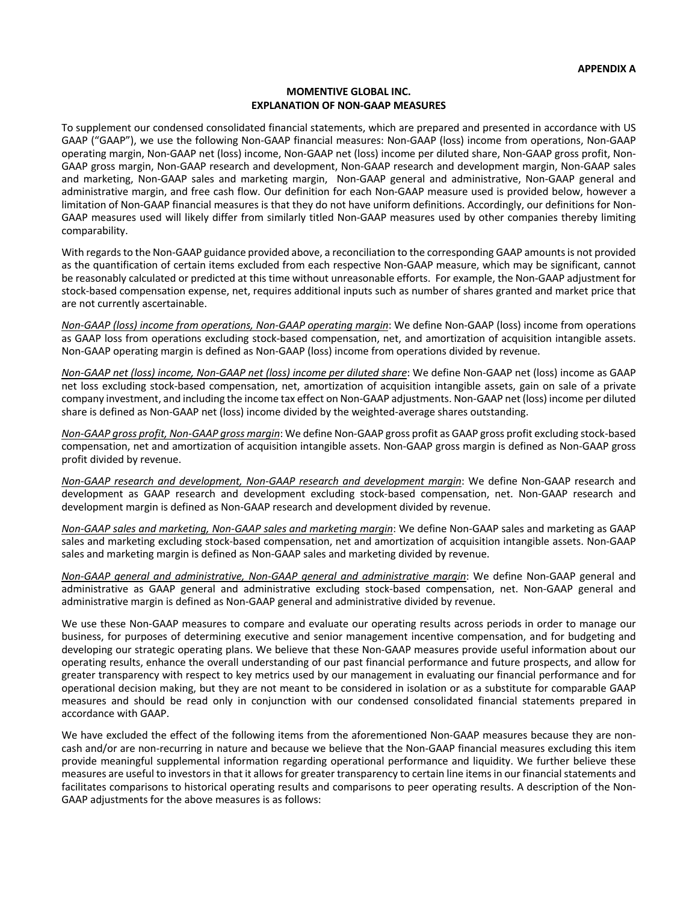#### **MOMENTIVE GLOBAL INC. EXPLANATION OF NON-GAAP MEASURES**

To supplement our condensed consolidated financial statements, which are prepared and presented in accordance with US GAAP ("GAAP"), we use the following Non-GAAP financial measures: Non-GAAP (loss) income from operations, Non-GAAP operating margin, Non-GAAP net (loss) income, Non-GAAP net (loss) income per diluted share, Non-GAAP gross profit, Non-GAAP gross margin, Non-GAAP research and development, Non-GAAP research and development margin, Non-GAAP sales and marketing, Non-GAAP sales and marketing margin, Non-GAAP general and administrative, Non-GAAP general and administrative margin, and free cash flow. Our definition for each Non-GAAP measure used is provided below, however a limitation of Non-GAAP financial measures is that they do not have uniform definitions. Accordingly, our definitions for Non-GAAP measures used will likely differ from similarly titled Non-GAAP measures used by other companies thereby limiting comparability.

With regards to the Non-GAAP guidance provided above, a reconciliation to the corresponding GAAP amounts is not provided as the quantification of certain items excluded from each respective Non-GAAP measure, which may be significant, cannot be reasonably calculated or predicted at this time without unreasonable efforts. For example, the Non-GAAP adjustment for stock-based compensation expense, net, requires additional inputs such as number of shares granted and market price that are not currently ascertainable.

*Non-GAAP (loss) income from operations, Non-GAAP operating margin*: We define Non-GAAP (loss) income from operations as GAAP loss from operations excluding stock-based compensation, net, and amortization of acquisition intangible assets. Non-GAAP operating margin is defined as Non-GAAP (loss) income from operations divided by revenue.

*Non-GAAP net (loss) income, Non-GAAP net (loss) income per diluted share*: We define Non-GAAP net (loss) income as GAAP net loss excluding stock-based compensation, net, amortization of acquisition intangible assets, gain on sale of a private company investment, and including the income tax effect on Non-GAAP adjustments. Non-GAAP net (loss) income per diluted share is defined as Non-GAAP net (loss) income divided by the weighted-average shares outstanding.

*Non-GAAP gross profit, Non-GAAP gross margin*: We define Non-GAAP gross profit as GAAP gross profit excluding stock-based compensation, net and amortization of acquisition intangible assets. Non-GAAP gross margin is defined as Non-GAAP gross profit divided by revenue.

*Non-GAAP research and development, Non-GAAP research and development margin*: We define Non-GAAP research and development as GAAP research and development excluding stock-based compensation, net. Non-GAAP research and development margin is defined as Non-GAAP research and development divided by revenue.

*Non-GAAP sales and marketing, Non-GAAP sales and marketing margin*: We define Non-GAAP sales and marketing as GAAP sales and marketing excluding stock-based compensation, net and amortization of acquisition intangible assets. Non-GAAP sales and marketing margin is defined as Non-GAAP sales and marketing divided by revenue.

*Non-GAAP general and administrative, Non-GAAP general and administrative margin*: We define Non-GAAP general and administrative as GAAP general and administrative excluding stock-based compensation, net. Non-GAAP general and administrative margin is defined as Non-GAAP general and administrative divided by revenue.

We use these Non-GAAP measures to compare and evaluate our operating results across periods in order to manage our business, for purposes of determining executive and senior management incentive compensation, and for budgeting and developing our strategic operating plans. We believe that these Non-GAAP measures provide useful information about our operating results, enhance the overall understanding of our past financial performance and future prospects, and allow for greater transparency with respect to key metrics used by our management in evaluating our financial performance and for operational decision making, but they are not meant to be considered in isolation or as a substitute for comparable GAAP measures and should be read only in conjunction with our condensed consolidated financial statements prepared in accordance with GAAP.

We have excluded the effect of the following items from the aforementioned Non-GAAP measures because they are noncash and/or are non-recurring in nature and because we believe that the Non-GAAP financial measures excluding this item provide meaningful supplemental information regarding operational performance and liquidity. We further believe these measures are useful to investors in that it allows for greater transparency to certain line items in our financial statements and facilitates comparisons to historical operating results and comparisons to peer operating results. A description of the Non-GAAP adjustments for the above measures is as follows: